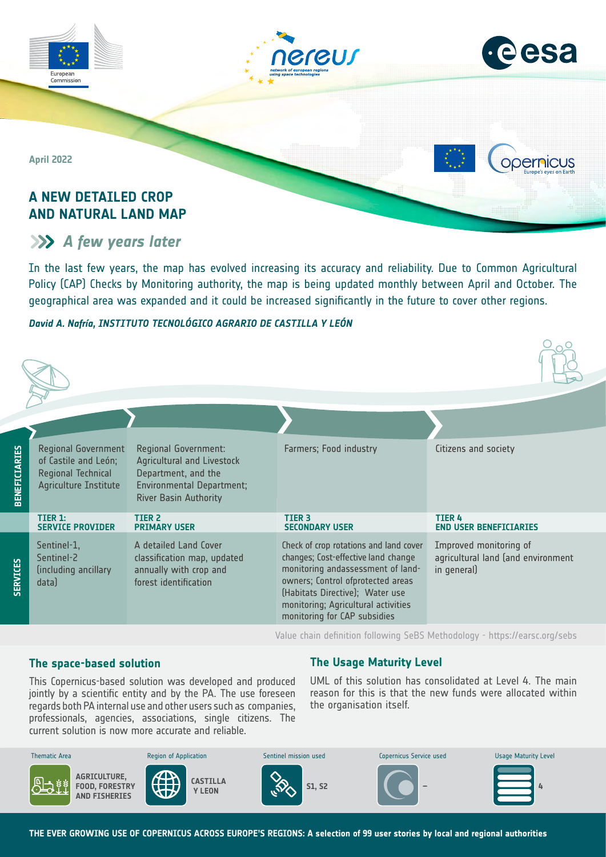

## **A NEW DETAILED CROP AND NATURAL LAND MAP**

# *A few years later*

In the last few years, the map has evolved increasing its accuracy and reliability. Due to Common Agricultural Policy (CAP) Checks by Monitoring authority, the map is being updated monthly between April and October. The geographical area was expanded and it could be increased significantly in the future to cover other regions.

### *David A. Nafría, INSTITUTO TECNOLÓGICO AGRARIO DE CASTILLA Y LEÓN*



Value chain definition following SeBS Methodology -<https://earsc.org/sebs>

### **The space-based solution**

regards both PA internal use and other users such as companies, professionals, agencies, associations, single citizens. The current solution is now more accurate and reliable. This Copernicus-based solution was developed and produced jointly by a scientific entity and by the PA. The use foreseen

### **The Usage Maturity Level**

UML of this solution has consolidated at Level 4. The main reason for this is that the new funds were allocated within the organisation itself.



**THE EVER GROWING USE OF COPERNICUS ACROSS EUROPE'S REGIONS: A selection of 99 user stories by local and regional authorities**